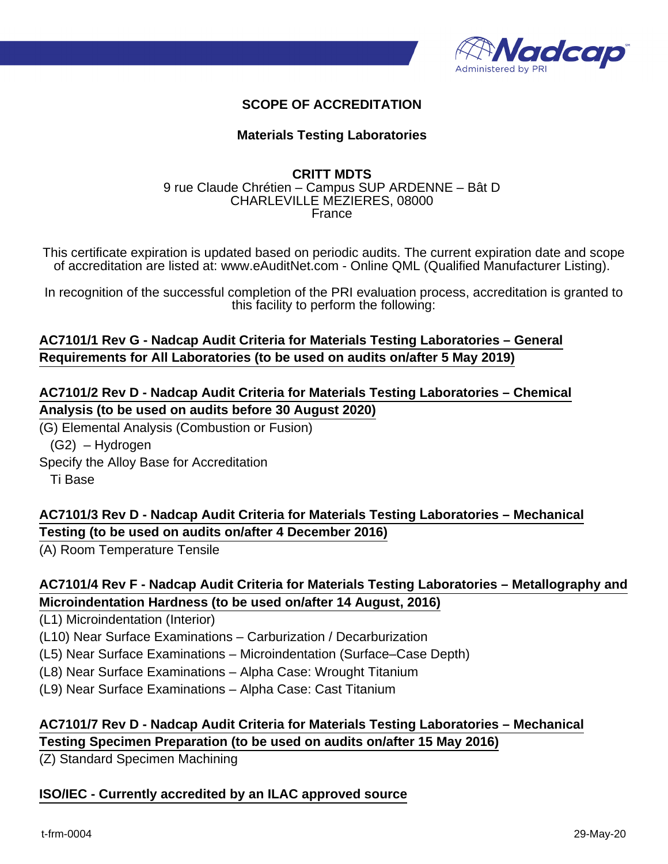

#### **SCOPE OF ACCREDITATION**

#### **Materials Testing Laboratories**

#### **CRITT MDTS** 9 rue Claude Chrétien – Campus SUP ARDENNE – Bât D CHARLEVILLE MEZIERES, 08000 France

This certificate expiration is updated based on periodic audits. The current expiration date and scope of accreditation are listed at: www.eAuditNet.com - Online QML (Qualified Manufacturer Listing).

In recognition of the successful completion of the PRI evaluation process, accreditation is granted to this facility to perform the following:

#### **AC7101/1 Rev G - Nadcap Audit Criteria for Materials Testing Laboratories – General Requirements for All Laboratories (to be used on audits on/after 5 May 2019)**

## **AC7101/2 Rev D - Nadcap Audit Criteria for Materials Testing Laboratories – Chemical Analysis (to be used on audits before 30 August 2020)**

(G) Elemental Analysis (Combustion or Fusion)

(G2) – Hydrogen

Specify the Alloy Base for Accreditation Ti Base

# **AC7101/3 Rev D - Nadcap Audit Criteria for Materials Testing Laboratories – Mechanical Testing (to be used on audits on/after 4 December 2016)**

(A) Room Temperature Tensile

## **AC7101/4 Rev F - Nadcap Audit Criteria for Materials Testing Laboratories – Metallography and Microindentation Hardness (to be used on/after 14 August, 2016)**

(L1) Microindentation (Interior)

(L10) Near Surface Examinations – Carburization / Decarburization

(L5) Near Surface Examinations – Microindentation (Surface–Case Depth)

(L8) Near Surface Examinations – Alpha Case: Wrought Titanium

(L9) Near Surface Examinations – Alpha Case: Cast Titanium

# **AC7101/7 Rev D - Nadcap Audit Criteria for Materials Testing Laboratories – Mechanical Testing Specimen Preparation (to be used on audits on/after 15 May 2016)**

(Z) Standard Specimen Machining

#### **ISO/IEC - Currently accredited by an ILAC approved source**